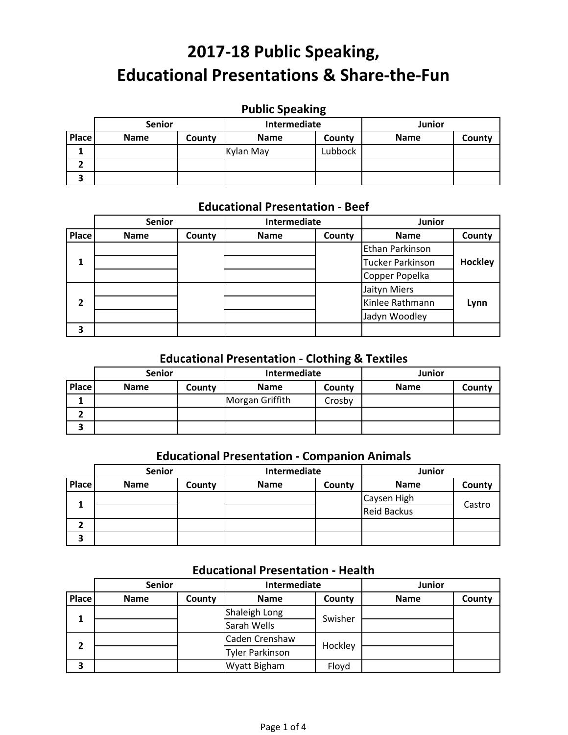# **Public Speaking**

|        | <b>Senior</b> |        | Intermediate |         | Junior      |        |
|--------|---------------|--------|--------------|---------|-------------|--------|
| Place  | <b>Name</b>   | County | <b>Name</b>  | County  | <b>Name</b> | County |
|        |               |        | Kylan May    | Lubbock |             |        |
|        |               |        |              |         |             |        |
| ∍<br>э |               |        |              |         |             |        |

## **Educational Presentation ‐ Beef**

|              | <b>Senior</b> |        | Intermediate |        | Junior           |                |
|--------------|---------------|--------|--------------|--------|------------------|----------------|
| <b>Place</b> | <b>Name</b>   | County | <b>Name</b>  | County | <b>Name</b>      | County         |
|              |               |        |              |        | Ethan Parkinson  |                |
| 1            |               |        |              |        | Tucker Parkinson | <b>Hockley</b> |
|              |               |        |              |        | Copper Popelka   |                |
|              |               |        |              |        | Jaityn Miers     |                |
| 2            |               |        |              |        | Kinlee Rathmann  | Lynn           |
|              |               |        |              |        | Jadyn Woodley    |                |
| 3            |               |        |              |        |                  |                |

### **Educational Presentation ‐ Clothing & Textiles**

|       | <b>Senior</b> |        | Intermediate    |        | <b>Junior</b> |        |
|-------|---------------|--------|-----------------|--------|---------------|--------|
| Place | <b>Name</b>   | County | <b>Name</b>     | County | <b>Name</b>   | County |
|       |               |        | Morgan Griffith | Crosby |               |        |
|       |               |        |                 |        |               |        |
| 3     |               |        |                 |        |               |        |

### **Educational Presentation ‐ Companion Animals**

|       | <b>Senior</b> |        | Intermediate |        | Junior             |        |
|-------|---------------|--------|--------------|--------|--------------------|--------|
| Place | <b>Name</b>   | County | <b>Name</b>  | County | <b>Name</b>        | County |
|       |               |        |              |        | Caysen High        |        |
|       |               |        |              |        | <b>Reid Backus</b> | Castro |
|       |               |        |              |        |                    |        |
| 3     |               |        |              |        |                    |        |

### **Educational Presentation ‐ Health**

|       | <b>Senior</b> |        | Intermediate           |         | Junior      |        |
|-------|---------------|--------|------------------------|---------|-------------|--------|
| Place | <b>Name</b>   | County | <b>Name</b>            | County  | <b>Name</b> | County |
|       |               |        | Shaleigh Long          | Swisher |             |        |
|       |               |        | Sarah Wells            |         |             |        |
| 2     |               |        | Caden Crenshaw         |         |             |        |
|       |               |        | <b>Tyler Parkinson</b> | Hockley |             |        |
| 3     |               |        | Wyatt Bigham           | Floyd   |             |        |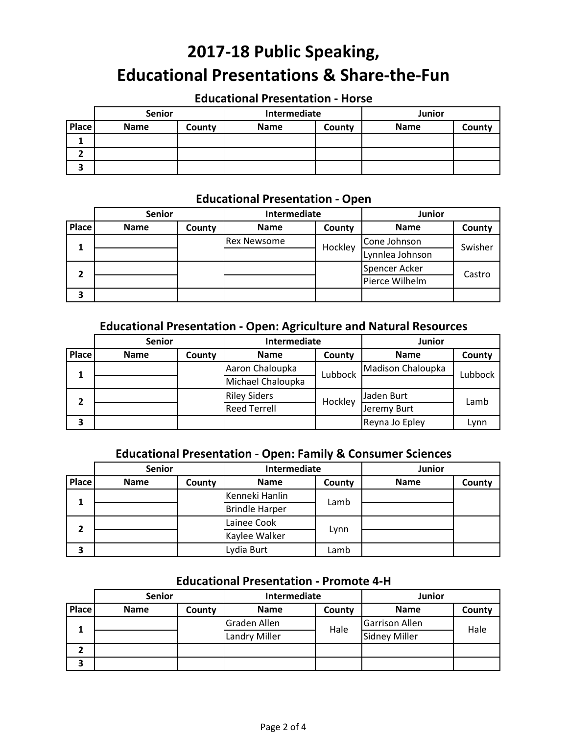### **Educational Presentation ‐ Horse**

|        | <b>Senior</b> |        | Intermediate |        | <b>Junior</b> |        |
|--------|---------------|--------|--------------|--------|---------------|--------|
| Place  | <b>Name</b>   | County | <b>Name</b>  | County | <b>Name</b>   | County |
|        |               |        |              |        |               |        |
|        |               |        |              |        |               |        |
| ,<br>э |               |        |              |        |               |        |

### **Educational Presentation ‐ Open**

|       | <b>Senior</b> |        | Intermediate       |         | Junior          |         |
|-------|---------------|--------|--------------------|---------|-----------------|---------|
| Place | <b>Name</b>   | County | <b>Name</b>        | County  | <b>Name</b>     | County  |
|       |               |        | <b>Rex Newsome</b> | Hockley | Cone Johnson    | Swisher |
|       |               |        |                    |         | Lynnlea Johnson |         |
| ר     |               |        |                    |         | Spencer Acker   | Castro  |
|       |               |        |                    |         | Pierce Wilhelm  |         |
| 3     |               |        |                    |         |                 |         |

#### **Educational Presentation ‐ Open: Agriculture and Natural Resources**

|       | <b>Senior</b>              |                   | Intermediate        |         | Junior         |         |
|-------|----------------------------|-------------------|---------------------|---------|----------------|---------|
| Place | <b>Name</b>                | County            | <b>Name</b>         | County  | <b>Name</b>    | County  |
| 1     | Aaron Chaloupka<br>Lubbock | Madison Chaloupka |                     |         |                |         |
|       |                            |                   | Michael Chaloupka   |         |                | Lubbock |
| 2     |                            |                   | <b>Riley Siders</b> | Hockley | Jaden Burt     |         |
|       |                            |                   | <b>Reed Terrell</b> |         | Jeremy Burt    | Lamb    |
| 3     |                            |                   |                     |         | Reyna Jo Epley | Lynn    |

## **Educational Presentation ‐ Open: Family & Consumer Sciences**

|       | <b>Senior</b>          |        | Intermediate          |        | Junior      |        |
|-------|------------------------|--------|-----------------------|--------|-------------|--------|
| Place | <b>Name</b>            | County | <b>Name</b>           | County | <b>Name</b> | County |
| 1     | Kenneki Hanlin<br>Lamb |        |                       |        |             |        |
|       |                        |        | <b>Brindle Harper</b> |        |             |        |
| 2     |                        |        | Lainee Cook           |        |             |        |
|       |                        |        | Kaylee Walker         | Lynn   |             |        |
| 3     |                        |        | Lydia Burt            | Lamb   |             |        |

#### **Educational Presentation ‐ Promote 4‐H**

|              | <b>Senior</b> |        | Intermediate         |        | Junior                |        |
|--------------|---------------|--------|----------------------|--------|-----------------------|--------|
| <b>Place</b> | <b>Name</b>   | County | <b>Name</b>          | County | <b>Name</b>           | County |
|              |               |        | Graden Allen         | Hale   | <b>Garrison Allen</b> | Hale   |
|              |               |        | <b>Landry Miller</b> |        | <b>Sidney Miller</b>  |        |
|              |               |        |                      |        |                       |        |
| 3            |               |        |                      |        |                       |        |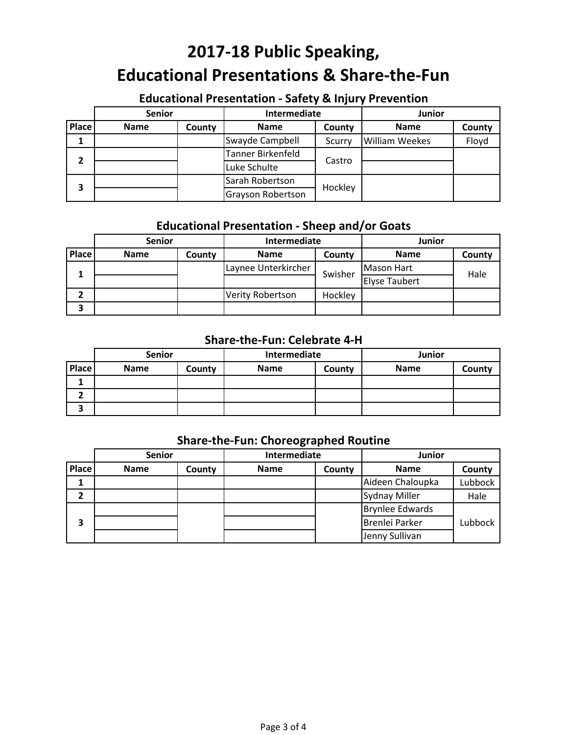## **Educational Presentation ‐ Safety & Injury Prevention**

|       | <b>Senior</b> |        | Intermediate      |         | Junior                |        |
|-------|---------------|--------|-------------------|---------|-----------------------|--------|
| Place | <b>Name</b>   | County | <b>Name</b>       | County  | <b>Name</b>           | County |
|       |               |        | Swayde Campbell   | Scurry  | <b>William Weekes</b> | Floyd  |
| າ     |               |        | Tanner Birkenfeld |         |                       |        |
|       |               |        | Luke Schulte      | Castro  |                       |        |
|       |               |        | Sarah Robertson   |         |                       |        |
| 3     |               |        | Grayson Robertson | Hockley |                       |        |

## **Educational Presentation ‐ Sheep and/or Goats**

|       | <b>Senior</b> |        | Intermediate            |         | <b>Junior</b>        |        |
|-------|---------------|--------|-------------------------|---------|----------------------|--------|
| Place | <b>Name</b>   | County | <b>Name</b>             | County  | <b>Name</b>          | County |
|       |               |        | Laynee Unterkircher     | Swisher | Mason Hart           | Hale   |
|       |               |        |                         |         | <b>Elyse Taubert</b> |        |
|       |               |        | <b>Verity Robertson</b> | Hockley |                      |        |
| Э     |               |        |                         |         |                      |        |

#### **Share‐the‐Fun: Celebrate 4‐H**

|       | <b>Senior</b> |        | Intermediate |        | <b>Junior</b> |        |
|-------|---------------|--------|--------------|--------|---------------|--------|
| Place | <b>Name</b>   | County | <b>Name</b>  | County | <b>Name</b>   | County |
|       |               |        |              |        |               |        |
|       |               |        |              |        |               |        |
|       |               |        |              |        |               |        |

## **Share‐the‐Fun: Choreographed Routine**

|       | <b>Senior</b> |        | Intermediate |        | <b>Junior</b>          |         |
|-------|---------------|--------|--------------|--------|------------------------|---------|
| Place | <b>Name</b>   | County | <b>Name</b>  | County | <b>Name</b>            | County  |
|       |               |        |              |        | Aideen Chaloupka       | Lubbock |
| 2     |               |        |              |        | <b>Sydnay Miller</b>   | Hale    |
|       |               |        |              |        | <b>Brynlee Edwards</b> |         |
| 3     |               |        |              |        | <b>Brenlei Parker</b>  | Lubbock |
|       |               |        |              |        | Jenny Sullivan         |         |